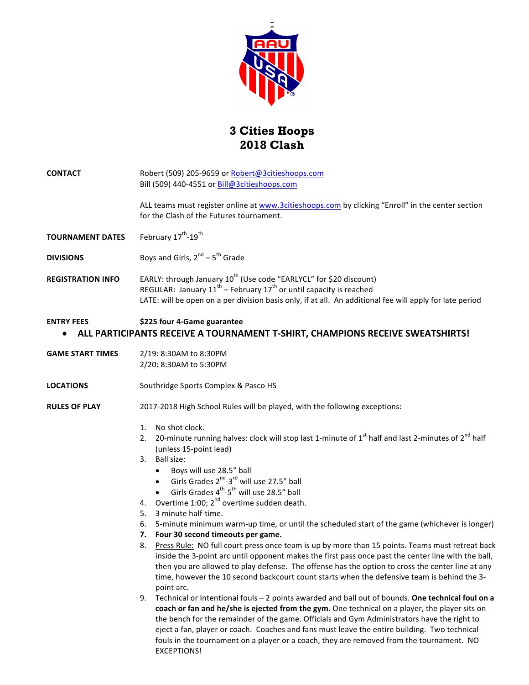

## **3 Cities Hoops 2018 Clash**

| CONTACT | Robert (509) 205-9659 or Robert@3citieshoops.com                                                                                              |
|---------|-----------------------------------------------------------------------------------------------------------------------------------------------|
|         | Bill (509) 440-4551 or $Bill@3$ citieshoops.com                                                                                               |
|         | ALL teams must register online at www.3citieshoops.com by clicking "Enroll" in the center section<br>for the Clash of the Futures tournament. |
|         |                                                                                                                                               |

- **TOURNAMENT DATES** February  $17^{th}$ -19<sup>th</sup>
- **DIVISIONS** Boys and Girls,  $2^{nd} 5^{th}$  Grade
- **REGISTRATION INFO** EARLY: through January 10<sup>th</sup> (Use code "EARLYCL" for \$20 discount) REGULAR: January  $11^{th}$  – February  $17^{th}$  or until capacity is reached LATE: will be open on a per division basis only, if at all. An additional fee will apply for late period

#### **ENTRY FEES** \$225 four 4-Game guarantee

### **ALL PARTICIPANTS RECEIVE A TOURNAMENT T-SHIRT, CHAMPIONS RECEIVE SWEATSHIRTS!**

- **GAME START TIMES** 2/19: 8:30AM to 8:30PM 2/20: 8:30AM to 5:30PM
- **LOCATIONS** Southridge Sports Complex & Pasco HS

#### **RULES OF PLAY** 2017-2018 High School Rules will be played, with the following exceptions:

- 1. No shot clock.
- 2. 20-minute running halves: clock will stop last 1-minute of  $1^{st}$  half and last 2-minutes of  $2^{nd}$  half (unless 15-point lead)
- 3. Ball size:
	- Boys will use 28.5" ball
	- Girls Grades  $2^{nd}$ -3<sup>rd</sup> will use 27.5" ball
	- Girls Grades  $4^{th}$ -5<sup>th</sup> will use 28.5" ball
- 4. Overtime  $1:00$ ;  $2<sup>nd</sup>$  overtime sudden death.
- 5. 3 minute half-time.
- 6. 5-minute minimum warm-up time, or until the scheduled start of the game (whichever is longer)
- **7. Four 30 second timeouts per game.**
- 8. Press Rule: NO full court press once team is up by more than 15 points. Teams must retreat back inside the 3-point arc until opponent makes the first pass once past the center line with the ball, then you are allowed to play defense. The offense has the option to cross the center line at any time, however the 10 second backcourt count starts when the defensive team is behind the 3point arc.
- 9. Technical or Intentional fouls 2 points awarded and ball out of bounds. One technical foul on a coach or fan and he/she is ejected from the gym. One technical on a player, the player sits on the bench for the remainder of the game. Officials and Gym Administrators have the right to eject a fan, player or coach. Coaches and fans must leave the entire building. Two technical fouls in the tournament on a player or a coach, they are removed from the tournament. NO EXCEPTIONS!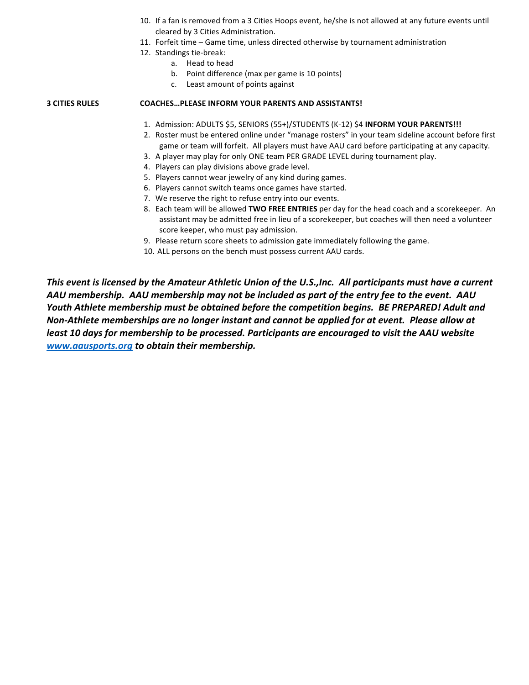- 10. If a fan is removed from a 3 Cities Hoops event, he/she is not allowed at any future events until cleared by 3 Cities Administration.
- 11. Forfeit time Game time, unless directed otherwise by tournament administration
- 12. Standings tie-break:
	- a. Head to head
	- b. Point difference (max per game is 10 points)
	- c. Least amount of points against

#### **3 CITIES RULES COACHES…PLEASE INFORM YOUR PARENTS AND ASSISTANTS!**

- 1. Admission: ADULTS \$5, SENIORS (55+)/STUDENTS (K-12) \$4 INFORM YOUR PARENTS!!!
- 2. Roster must be entered online under "manage rosters" in your team sideline account before first game or team will forfeit. All players must have AAU card before participating at any capacity.
- 3. A player may play for only ONE team PER GRADE LEVEL during tournament play.
- 4. Players can play divisions above grade level.
- 5. Players cannot wear jewelry of any kind during games.
- 6. Players cannot switch teams once games have started.
- 7. We reserve the right to refuse entry into our events.
- 8. Each team will be allowed TWO FREE ENTRIES per day for the head coach and a scorekeeper. An assistant may be admitted free in lieu of a scorekeeper, but coaches will then need a volunteer score keeper, who must pay admission.
- 9. Please return score sheets to admission gate immediately following the game.
- 10. ALL persons on the bench must possess current AAU cards.

*This* event is licensed by the Amateur Athletic Union of the U.S.,Inc. All participants must have a current AAU membership. AAU membership may not be included as part of the entry fee to the event. AAU *Youth* Athlete membership must be obtained before the competition begins. BE PREPARED! Adult and *Non-Athlete memberships are no longer instant and cannot be applied for at event. Please allow at least 10 days for membership to be processed. Participants are encouraged to visit the AAU website* www.aausports.org to obtain their membership.